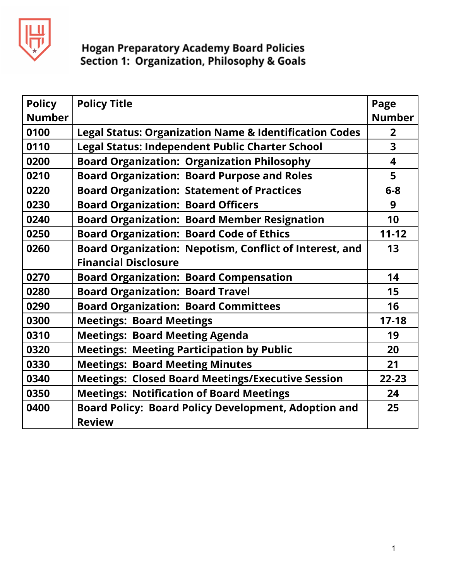

| <b>Policy</b> | <b>Policy Title</b>                                                          | Page           |
|---------------|------------------------------------------------------------------------------|----------------|
| <b>Number</b> |                                                                              | <b>Number</b>  |
| 0100          | <b>Legal Status: Organization Name &amp; Identification Codes</b>            | $\overline{2}$ |
| 0110          | <b>Legal Status: Independent Public Charter School</b>                       | 3              |
| 0200          | <b>Board Organization: Organization Philosophy</b>                           | 4              |
| 0210          | <b>Board Organization: Board Purpose and Roles</b>                           | 5              |
| 0220          | <b>Board Organization: Statement of Practices</b>                            | $6 - 8$        |
| 0230          | <b>Board Organization: Board Officers</b>                                    | 9              |
| 0240          | <b>Board Organization: Board Member Resignation</b>                          | 10             |
| 0250          | <b>Board Organization: Board Code of Ethics</b>                              | $11 - 12$      |
| 0260          | Board Organization: Nepotism, Conflict of Interest, and                      | 13             |
|               | <b>Financial Disclosure</b>                                                  |                |
| 0270          | <b>Board Organization: Board Compensation</b>                                | 14             |
| 0280          | <b>Board Organization: Board Travel</b>                                      | 15             |
| 0290          | <b>Board Organization: Board Committees</b>                                  | 16             |
| 0300          | <b>Meetings: Board Meetings</b>                                              | $17 - 18$      |
| 0310          | <b>Meetings: Board Meeting Agenda</b>                                        | 19             |
| 0320          | <b>Meetings: Meeting Participation by Public</b>                             | 20             |
| 0330          | <b>Meetings: Board Meeting Minutes</b>                                       | 21             |
| 0340          | <b>Meetings: Closed Board Meetings/Executive Session</b>                     | $22 - 23$      |
| 0350          | <b>Meetings: Notification of Board Meetings</b>                              | 24             |
| 0400          | <b>Board Policy: Board Policy Development, Adoption and</b><br><b>Review</b> | 25             |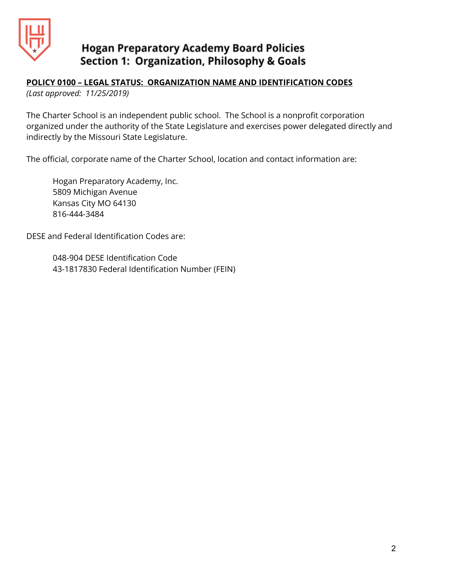

### **POLICY 0100 – LEGAL STATUS: ORGANIZATION NAME AND IDENTIFICATION CODES**

*(Last approved: 11/25/2019)*

The Charter School is an independent public school. The School is a nonprofit corporation organized under the authority of the State Legislature and exercises power delegated directly and indirectly by the Missouri State Legislature.

The official, corporate name of the Charter School, location and contact information are:

Hogan Preparatory Academy, Inc. 5809 Michigan Avenue Kansas City MO 64130 816-444-3484

DESE and Federal Identification Codes are:

048-904 DESE Identification Code 43-1817830 Federal Identification Number (FEIN)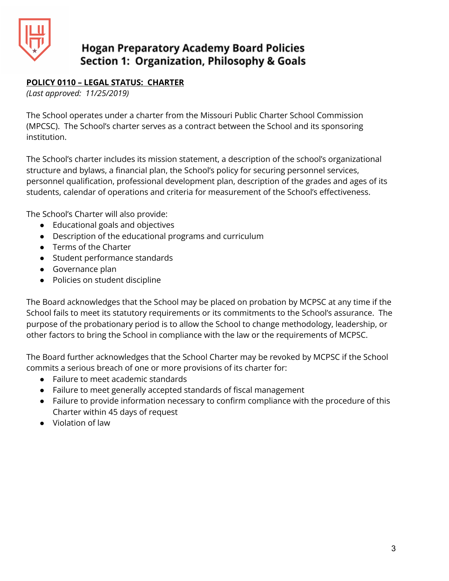

### **POLICY 0110 – LEGAL STATUS: CHARTER**

*(Last approved: 11/25/2019)*

The School operates under a charter from the Missouri Public Charter School Commission (MPCSC). The School's charter serves as a contract between the School and its sponsoring institution.

The School's charter includes its mission statement, a description of the school's organizational structure and bylaws, a financial plan, the School's policy for securing personnel services, personnel qualification, professional development plan, description of the grades and ages of its students, calendar of operations and criteria for measurement of the School's effectiveness.

The School's Charter will also provide:

- Educational goals and objectives
- Description of the educational programs and curriculum
- Terms of the Charter
- Student performance standards
- Governance plan
- Policies on student discipline

The Board acknowledges that the School may be placed on probation by MCPSC at any time if the School fails to meet its statutory requirements or its commitments to the School's assurance. The purpose of the probationary period is to allow the School to change methodology, leadership, or other factors to bring the School in compliance with the law or the requirements of MCPSC.

The Board further acknowledges that the School Charter may be revoked by MCPSC if the School commits a serious breach of one or more provisions of its charter for:

- Failure to meet academic standards
- Failure to meet generally accepted standards of fiscal management
- Failure to provide information necessary to confirm compliance with the procedure of this Charter within 45 days of request
- Violation of law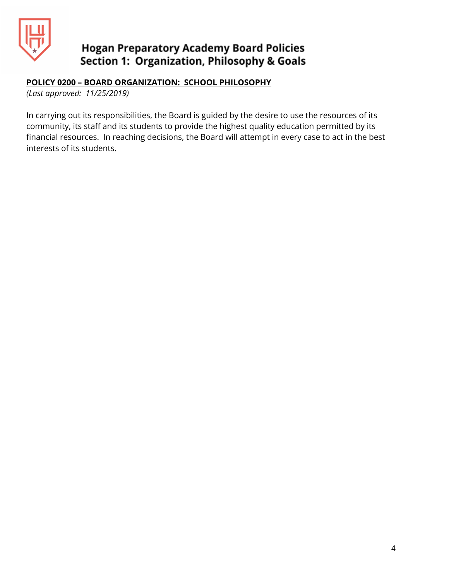

### **POLICY 0200 – BOARD ORGANIZATION: SCHOOL PHILOSOPHY**

*(Last approved: 11/25/2019)*

In carrying out its responsibilities, the Board is guided by the desire to use the resources of its community, its staff and its students to provide the highest quality education permitted by its financial resources. In reaching decisions, the Board will attempt in every case to act in the best interests of its students.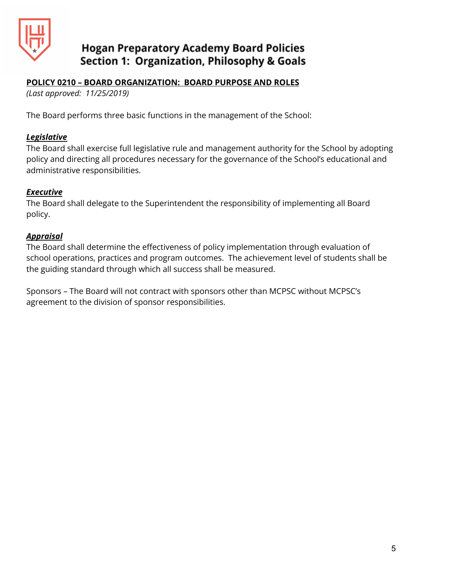

#### **POLICY 0210 – BOARD ORGANIZATION: BOARD PURPOSE AND ROLES**

*(Last approved: 11/25/2019)*

The Board performs three basic functions in the management of the School:

#### *Legislative*

The Board shall exercise full legislative rule and management authority for the School by adopting policy and directing all procedures necessary for the governance of the School's educational and administrative responsibilities.

#### *Executive*

The Board shall delegate to the Superintendent the responsibility of implementing all Board policy.

#### *Appraisal*

The Board shall determine the effectiveness of policy implementation through evaluation of school operations, practices and program outcomes. The achievement level of students shall be the guiding standard through which all success shall be measured.

Sponsors – The Board will not contract with sponsors other than MCPSC without MCPSC's agreement to the division of sponsor responsibilities.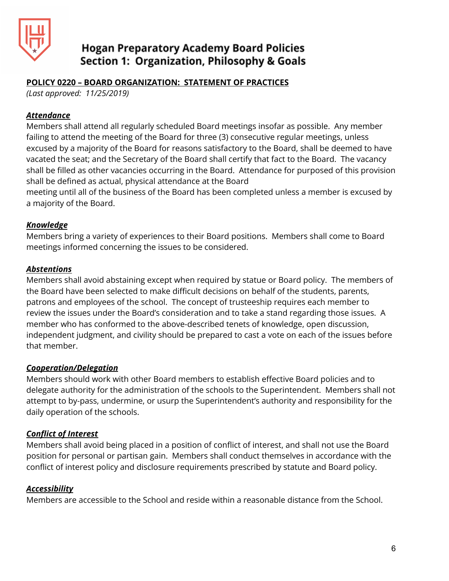

### **POLICY 0220 – BOARD ORGANIZATION: STATEMENT OF PRACTICES**

*(Last approved: 11/25/2019)*

#### *Attendance*

Members shall attend all regularly scheduled Board meetings insofar as possible. Any member failing to attend the meeting of the Board for three (3) consecutive regular meetings, unless excused by a majority of the Board for reasons satisfactory to the Board, shall be deemed to have vacated the seat; and the Secretary of the Board shall certify that fact to the Board. The vacancy shall be filled as other vacancies occurring in the Board. Attendance for purposed of this provision shall be defined as actual, physical attendance at the Board

meeting until all of the business of the Board has been completed unless a member is excused by a majority of the Board.

### *Knowledge*

Members bring a variety of experiences to their Board positions. Members shall come to Board meetings informed concerning the issues to be considered.

#### *Abstentions*

Members shall avoid abstaining except when required by statue or Board policy. The members of the Board have been selected to make difficult decisions on behalf of the students, parents, patrons and employees of the school. The concept of trusteeship requires each member to review the issues under the Board's consideration and to take a stand regarding those issues. A member who has conformed to the above-described tenets of knowledge, open discussion, independent judgment, and civility should be prepared to cast a vote on each of the issues before that member.

#### *Cooperation/Delegation*

Members should work with other Board members to establish effective Board policies and to delegate authority for the administration of the schools to the Superintendent. Members shall not attempt to by-pass, undermine, or usurp the Superintendent's authority and responsibility for the daily operation of the schools.

### *Conflict of Interest*

Members shall avoid being placed in a position of conflict of interest, and shall not use the Board position for personal or partisan gain. Members shall conduct themselves in accordance with the conflict of interest policy and disclosure requirements prescribed by statute and Board policy.

### *Accessibility*

Members are accessible to the School and reside within a reasonable distance from the School.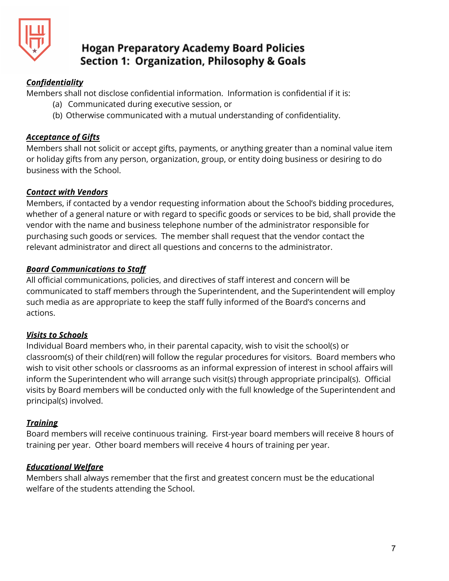

### *Confidentiality*

Members shall not disclose confidential information. Information is confidential if it is:

- (a) Communicated during executive session, or
- (b) Otherwise communicated with a mutual understanding of confidentiality.

### *Acceptance of Gifts*

Members shall not solicit or accept gifts, payments, or anything greater than a nominal value item or holiday gifts from any person, organization, group, or entity doing business or desiring to do business with the School.

### *Contact with Vendors*

Members, if contacted by a vendor requesting information about the School's bidding procedures, whether of a general nature or with regard to specific goods or services to be bid, shall provide the vendor with the name and business telephone number of the administrator responsible for purchasing such goods or services. The member shall request that the vendor contact the relevant administrator and direct all questions and concerns to the administrator.

### *Board Communications to Staff*

All official communications, policies, and directives of staff interest and concern will be communicated to staff members through the Superintendent, and the Superintendent will employ such media as are appropriate to keep the staff fully informed of the Board's concerns and actions.

### *Visits to Schools*

Individual Board members who, in their parental capacity, wish to visit the school(s) or classroom(s) of their child(ren) will follow the regular procedures for visitors. Board members who wish to visit other schools or classrooms as an informal expression of interest in school affairs will inform the Superintendent who will arrange such visit(s) through appropriate principal(s). Official visits by Board members will be conducted only with the full knowledge of the Superintendent and principal(s) involved.

### *Training*

Board members will receive continuous training. First-year board members will receive 8 hours of training per year. Other board members will receive 4 hours of training per year.

### *Educational Welfare*

Members shall always remember that the first and greatest concern must be the educational welfare of the students attending the School.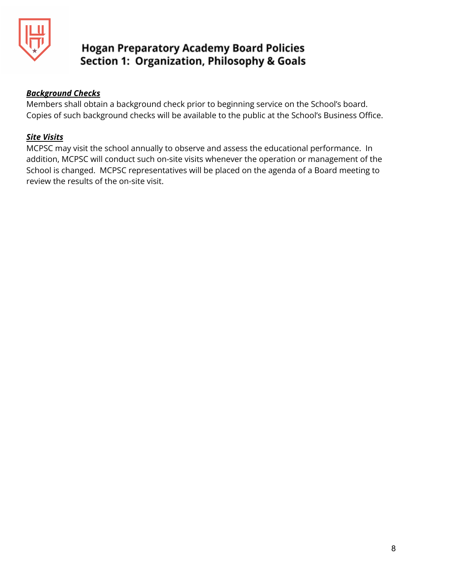

#### *Background Checks*

Members shall obtain a background check prior to beginning service on the School's board. Copies of such background checks will be available to the public at the School's Business Office.

#### *Site Visits*

MCPSC may visit the school annually to observe and assess the educational performance. In addition, MCPSC will conduct such on-site visits whenever the operation or management of the School is changed. MCPSC representatives will be placed on the agenda of a Board meeting to review the results of the on-site visit.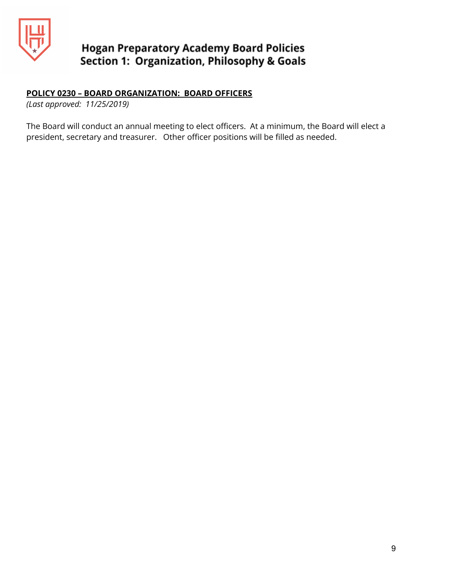

### **POLICY 0230 – BOARD ORGANIZATION: BOARD OFFICERS**

*(Last approved: 11/25/2019)*

The Board will conduct an annual meeting to elect officers. At a minimum, the Board will elect a president, secretary and treasurer. Other officer positions will be filled as needed.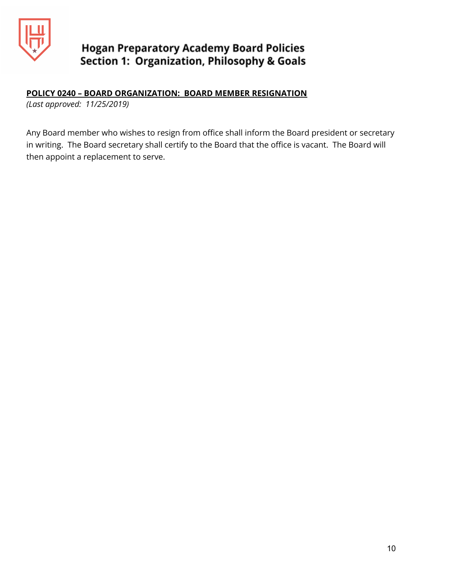

### **POLICY 0240 – BOARD ORGANIZATION: BOARD MEMBER RESIGNATION**

*(Last approved: 11/25/2019)*

Any Board member who wishes to resign from office shall inform the Board president or secretary in writing. The Board secretary shall certify to the Board that the office is vacant. The Board will then appoint a replacement to serve.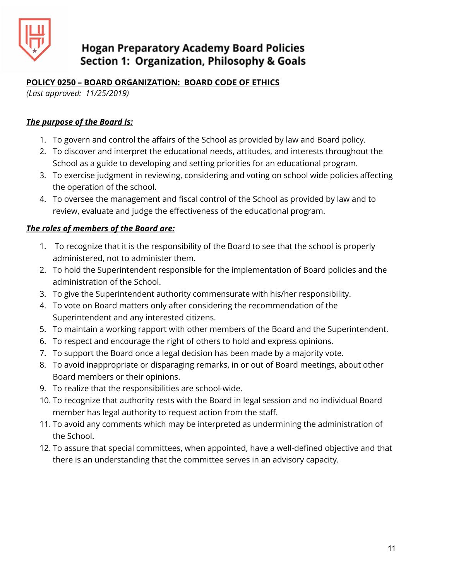

### **POLICY 0250 – BOARD ORGANIZATION: BOARD CODE OF ETHICS**

*(Last approved: 11/25/2019)*

### *The purpose of the Board is:*

- 1. To govern and control the affairs of the School as provided by law and Board policy.
- 2. To discover and interpret the educational needs, attitudes, and interests throughout the School as a guide to developing and setting priorities for an educational program.
- 3. To exercise judgment in reviewing, considering and voting on school wide policies affecting the operation of the school.
- 4. To oversee the management and fiscal control of the School as provided by law and to review, evaluate and judge the effectiveness of the educational program.

### *The roles of members of the Board are:*

- 1. To recognize that it is the responsibility of the Board to see that the school is properly administered, not to administer them.
- 2. To hold the Superintendent responsible for the implementation of Board policies and the administration of the School.
- 3. To give the Superintendent authority commensurate with his/her responsibility.
- 4. To vote on Board matters only after considering the recommendation of the Superintendent and any interested citizens.
- 5. To maintain a working rapport with other members of the Board and the Superintendent.
- 6. To respect and encourage the right of others to hold and express opinions.
- 7. To support the Board once a legal decision has been made by a majority vote.
- 8. To avoid inappropriate or disparaging remarks, in or out of Board meetings, about other Board members or their opinions.
- 9. To realize that the responsibilities are school-wide.
- 10. To recognize that authority rests with the Board in legal session and no individual Board member has legal authority to request action from the staff.
- 11. To avoid any comments which may be interpreted as undermining the administration of the School.
- 12. To assure that special committees, when appointed, have a well-defined objective and that there is an understanding that the committee serves in an advisory capacity.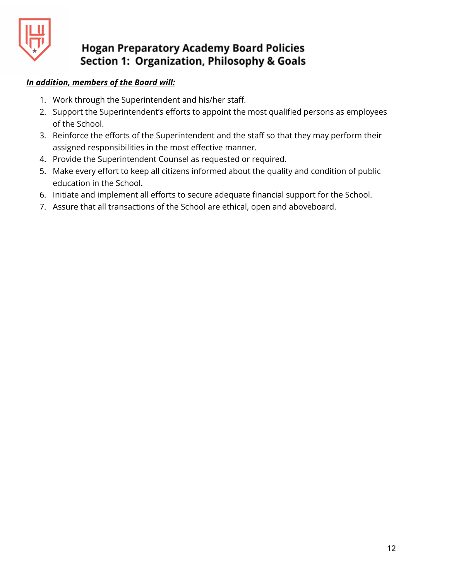

### *In addition, members of the Board will:*

- 1. Work through the Superintendent and his/her staff.
- 2. Support the Superintendent's efforts to appoint the most qualified persons as employees of the School.
- 3. Reinforce the efforts of the Superintendent and the staff so that they may perform their assigned responsibilities in the most effective manner.
- 4. Provide the Superintendent Counsel as requested or required.
- 5. Make every effort to keep all citizens informed about the quality and condition of public education in the School.
- 6. Initiate and implement all efforts to secure adequate financial support for the School.
- 7. Assure that all transactions of the School are ethical, open and aboveboard.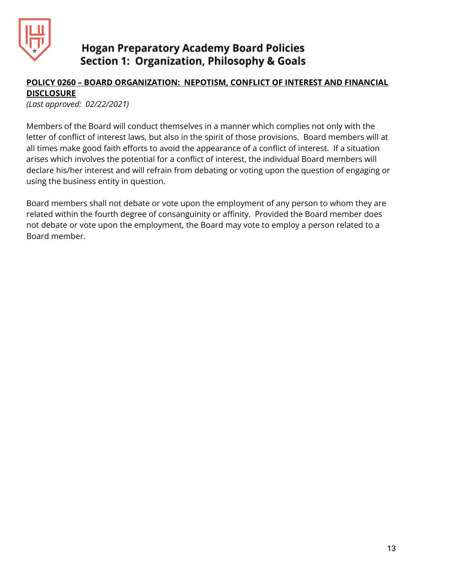

### **POLICY 0260 – BOARD ORGANIZATION: NEPOTISM, CONFLICT OF INTEREST AND FINANCIAL DISCLOSURE**

*(Last approved: 02/22/2021)*

Members of the Board will conduct themselves in a manner which complies not only with the letter of conflict of interest laws, but also in the spirit of those provisions. Board members will at all times make good faith efforts to avoid the appearance of a conflict of interest. If a situation arises which involves the potential for a conflict of interest, the individual Board members will declare his/her interest and will refrain from debating or voting upon the question of engaging or using the business entity in question.

Board members shall not debate or vote upon the employment of any person to whom they are related within the fourth degree of consanguinity or affinity. Provided the Board member does not debate or vote upon the employment, the Board may vote to employ a person related to a Board member.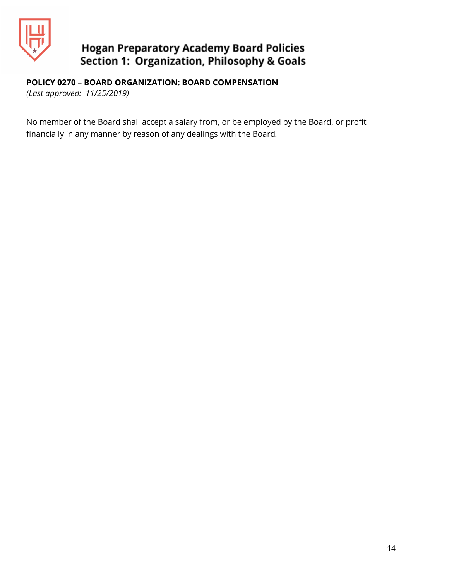

### **POLICY 0270 – BOARD ORGANIZATION: BOARD COMPENSATION**

*(Last approved: 11/25/2019)*

No member of the Board shall accept a salary from, or be employed by the Board, or profit financially in any manner by reason of any dealings with the Board*.*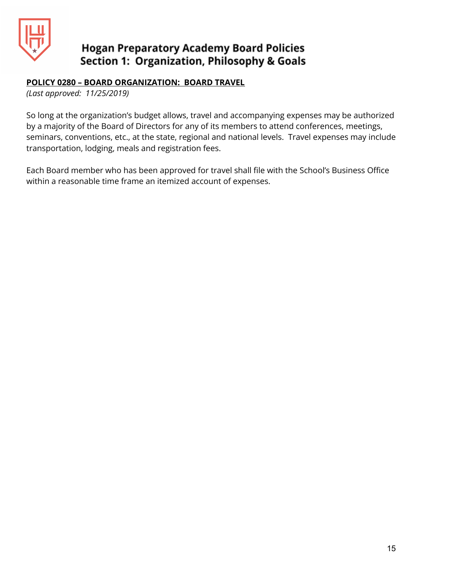

### **POLICY 0280 – BOARD ORGANIZATION: BOARD TRAVEL**

*(Last approved: 11/25/2019)*

So long at the organization's budget allows, travel and accompanying expenses may be authorized by a majority of the Board of Directors for any of its members to attend conferences, meetings, seminars, conventions, etc., at the state, regional and national levels. Travel expenses may include transportation, lodging, meals and registration fees.

Each Board member who has been approved for travel shall file with the School's Business Office within a reasonable time frame an itemized account of expenses.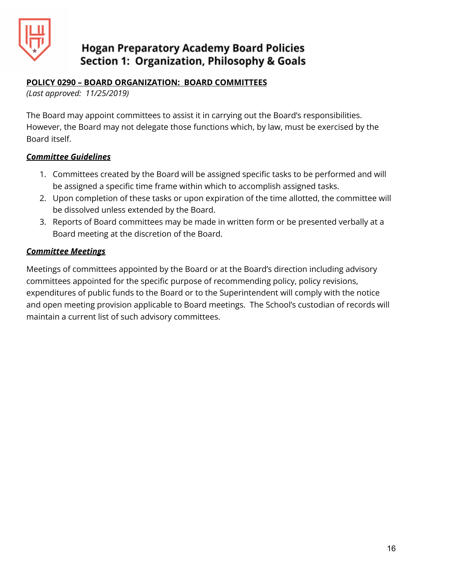

### **POLICY 0290 – BOARD ORGANIZATION: BOARD COMMITTEES**

*(Last approved: 11/25/2019)*

The Board may appoint committees to assist it in carrying out the Board's responsibilities. However, the Board may not delegate those functions which, by law, must be exercised by the Board itself.

### *Committee Guidelines*

- 1. Committees created by the Board will be assigned specific tasks to be performed and will be assigned a specific time frame within which to accomplish assigned tasks.
- 2. Upon completion of these tasks or upon expiration of the time allotted, the committee will be dissolved unless extended by the Board.
- 3. Reports of Board committees may be made in written form or be presented verbally at a Board meeting at the discretion of the Board.

### *Committee Meetings*

Meetings of committees appointed by the Board or at the Board's direction including advisory committees appointed for the specific purpose of recommending policy, policy revisions, expenditures of public funds to the Board or to the Superintendent will comply with the notice and open meeting provision applicable to Board meetings. The School's custodian of records will maintain a current list of such advisory committees.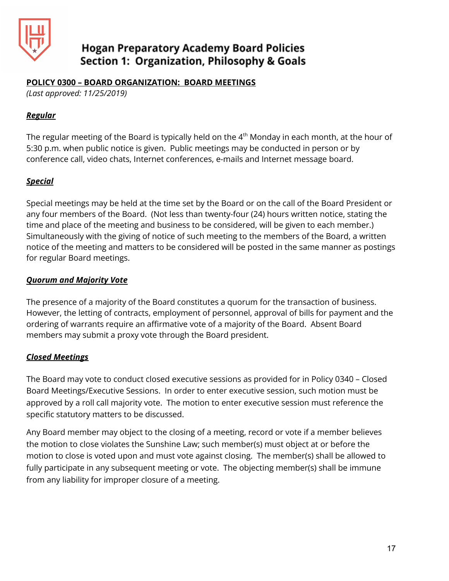

#### **POLICY 0300 – BOARD ORGANIZATION: BOARD MEETINGS**

*(Last approved: 11/25/2019)*

#### *Regular*

The regular meeting of the Board is typically held on the 4 $^{\rm th}$  Monday in each month, at the hour of 5:30 p.m. when public notice is given. Public meetings may be conducted in person or by conference call, video chats, Internet conferences, e-mails and Internet message board.

### *Special*

Special meetings may be held at the time set by the Board or on the call of the Board President or any four members of the Board. (Not less than twenty-four (24) hours written notice, stating the time and place of the meeting and business to be considered, will be given to each member.) Simultaneously with the giving of notice of such meeting to the members of the Board, a written notice of the meeting and matters to be considered will be posted in the same manner as postings for regular Board meetings.

### *Quorum and Majority Vote*

The presence of a majority of the Board constitutes a quorum for the transaction of business. However, the letting of contracts, employment of personnel, approval of bills for payment and the ordering of warrants require an affirmative vote of a majority of the Board. Absent Board members may submit a proxy vote through the Board president.

### *Closed Meetings*

The Board may vote to conduct closed executive sessions as provided for in Policy 0340 – Closed Board Meetings/Executive Sessions. In order to enter executive session, such motion must be approved by a roll call majority vote. The motion to enter executive session must reference the specific statutory matters to be discussed.

Any Board member may object to the closing of a meeting, record or vote if a member believes the motion to close violates the Sunshine Law; such member(s) must object at or before the motion to close is voted upon and must vote against closing. The member(s) shall be allowed to fully participate in any subsequent meeting or vote. The objecting member(s) shall be immune from any liability for improper closure of a meeting.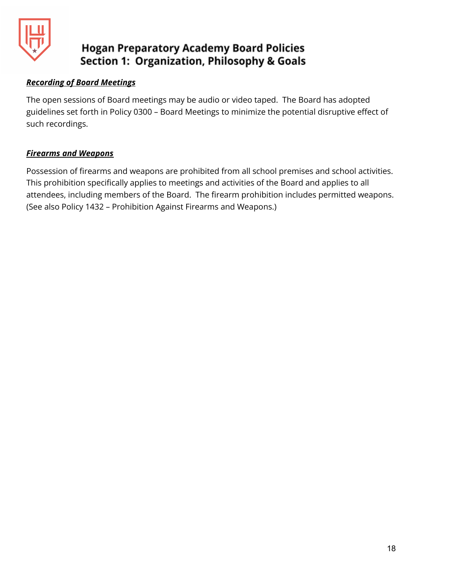

### *Recording of Board Meetings*

The open sessions of Board meetings may be audio or video taped. The Board has adopted guidelines set forth in Policy 0300 – Board Meetings to minimize the potential disruptive effect of such recordings.

### *Firearms and Weapons*

Possession of firearms and weapons are prohibited from all school premises and school activities. This prohibition specifically applies to meetings and activities of the Board and applies to all attendees, including members of the Board. The firearm prohibition includes permitted weapons. (See also Policy 1432 – Prohibition Against Firearms and Weapons.)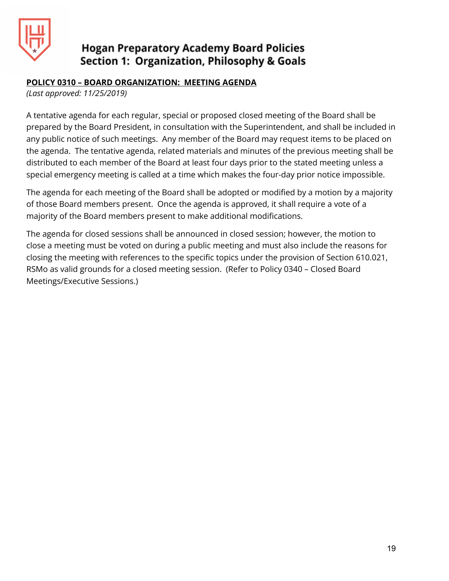

### **POLICY 0310 – BOARD ORGANIZATION: MEETING AGENDA**

*(Last approved: 11/25/2019)*

A tentative agenda for each regular, special or proposed closed meeting of the Board shall be prepared by the Board President, in consultation with the Superintendent, and shall be included in any public notice of such meetings. Any member of the Board may request items to be placed on the agenda. The tentative agenda, related materials and minutes of the previous meeting shall be distributed to each member of the Board at least four days prior to the stated meeting unless a special emergency meeting is called at a time which makes the four-day prior notice impossible.

The agenda for each meeting of the Board shall be adopted or modified by a motion by a majority of those Board members present. Once the agenda is approved, it shall require a vote of a majority of the Board members present to make additional modifications.

The agenda for closed sessions shall be announced in closed session; however, the motion to close a meeting must be voted on during a public meeting and must also include the reasons for closing the meeting with references to the specific topics under the provision of Section 610.021, RSMo as valid grounds for a closed meeting session. (Refer to Policy 0340 – Closed Board Meetings/Executive Sessions.)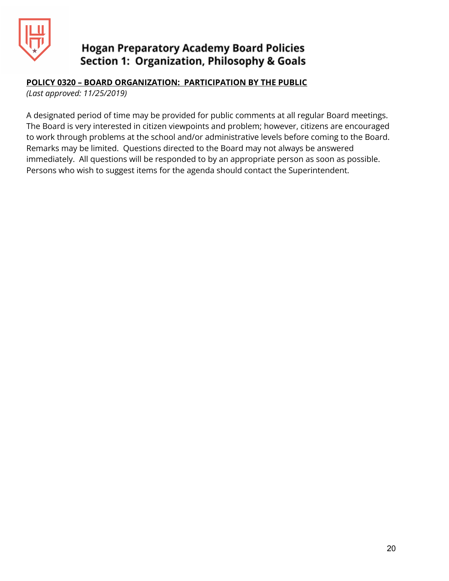

### **POLICY 0320 – BOARD ORGANIZATION: PARTICIPATION BY THE PUBLIC**

*(Last approved: 11/25/2019)*

A designated period of time may be provided for public comments at all regular Board meetings. The Board is very interested in citizen viewpoints and problem; however, citizens are encouraged to work through problems at the school and/or administrative levels before coming to the Board. Remarks may be limited. Questions directed to the Board may not always be answered immediately. All questions will be responded to by an appropriate person as soon as possible. Persons who wish to suggest items for the agenda should contact the Superintendent.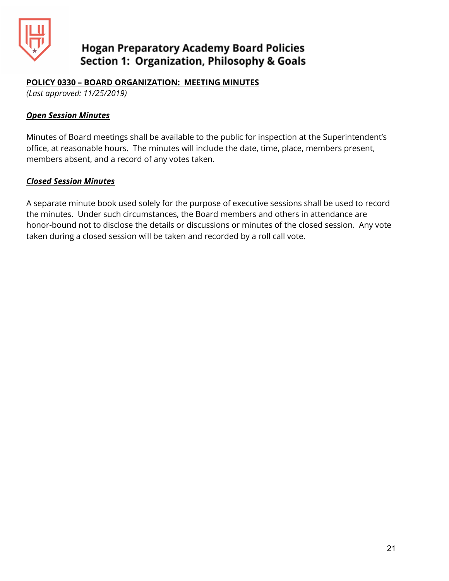

#### **POLICY 0330 – BOARD ORGANIZATION: MEETING MINUTES**

*(Last approved: 11/25/2019)*

#### *Open Session Minutes*

Minutes of Board meetings shall be available to the public for inspection at the Superintendent's office, at reasonable hours. The minutes will include the date, time, place, members present, members absent, and a record of any votes taken.

#### *Closed Session Minutes*

A separate minute book used solely for the purpose of executive sessions shall be used to record the minutes. Under such circumstances, the Board members and others in attendance are honor-bound not to disclose the details or discussions or minutes of the closed session. Any vote taken during a closed session will be taken and recorded by a roll call vote.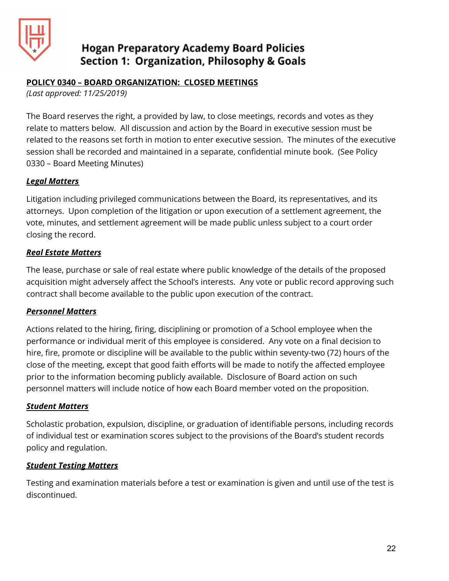

### **POLICY 0340 – BOARD ORGANIZATION: CLOSED MEETINGS**

*(Last approved: 11/25/2019)*

The Board reserves the right, a provided by law, to close meetings, records and votes as they relate to matters below. All discussion and action by the Board in executive session must be related to the reasons set forth in motion to enter executive session. The minutes of the executive session shall be recorded and maintained in a separate, confidential minute book. (See Policy 0330 – Board Meeting Minutes)

#### *Legal Matters*

Litigation including privileged communications between the Board, its representatives, and its attorneys. Upon completion of the litigation or upon execution of a settlement agreement, the vote, minutes, and settlement agreement will be made public unless subject to a court order closing the record.

### *Real Estate Matters*

The lease, purchase or sale of real estate where public knowledge of the details of the proposed acquisition might adversely affect the School's interests. Any vote or public record approving such contract shall become available to the public upon execution of the contract.

#### *Personnel Matters*

Actions related to the hiring, firing, disciplining or promotion of a School employee when the performance or individual merit of this employee is considered. Any vote on a final decision to hire, fire, promote or discipline will be available to the public within seventy-two (72) hours of the close of the meeting, except that good faith efforts will be made to notify the affected employee prior to the information becoming publicly available. Disclosure of Board action on such personnel matters will include notice of how each Board member voted on the proposition.

#### *Student Matters*

Scholastic probation, expulsion, discipline, or graduation of identifiable persons, including records of individual test or examination scores subject to the provisions of the Board's student records policy and regulation.

#### *Student Testing Matters*

Testing and examination materials before a test or examination is given and until use of the test is discontinued.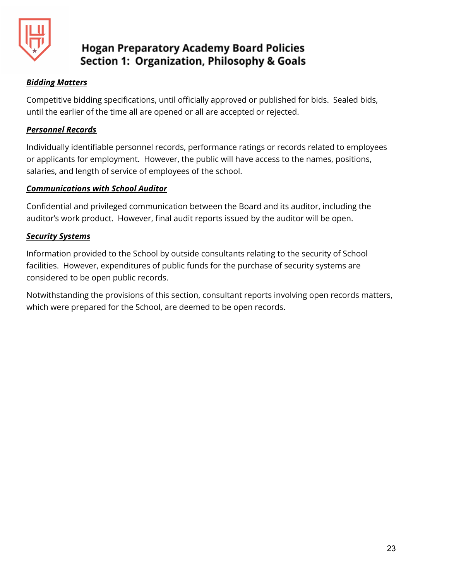

### *Bidding Matters*

Competitive bidding specifications, until officially approved or published for bids. Sealed bids, until the earlier of the time all are opened or all are accepted or rejected.

### *Personnel Records*

Individually identifiable personnel records, performance ratings or records related to employees or applicants for employment. However, the public will have access to the names, positions, salaries, and length of service of employees of the school.

### *Communications with School Auditor*

Confidential and privileged communication between the Board and its auditor, including the auditor's work product. However, final audit reports issued by the auditor will be open.

### *Security Systems*

Information provided to the School by outside consultants relating to the security of School facilities. However, expenditures of public funds for the purchase of security systems are considered to be open public records.

Notwithstanding the provisions of this section, consultant reports involving open records matters, which were prepared for the School, are deemed to be open records.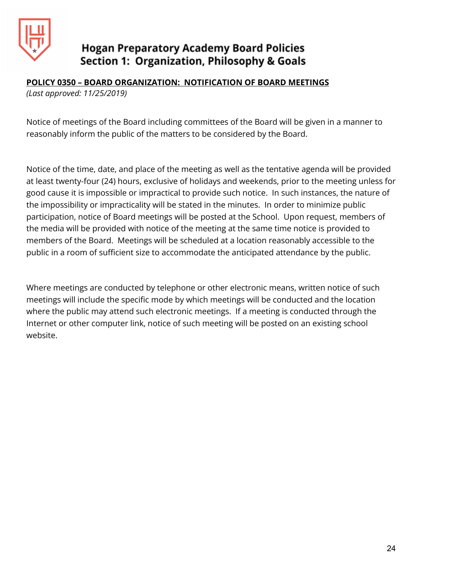

### **POLICY 0350 – BOARD ORGANIZATION: NOTIFICATION OF BOARD MEETINGS**

*(Last approved: 11/25/2019)*

Notice of meetings of the Board including committees of the Board will be given in a manner to reasonably inform the public of the matters to be considered by the Board.

Notice of the time, date, and place of the meeting as well as the tentative agenda will be provided at least twenty-four (24) hours, exclusive of holidays and weekends, prior to the meeting unless for good cause it is impossible or impractical to provide such notice. In such instances, the nature of the impossibility or impracticality will be stated in the minutes. In order to minimize public participation, notice of Board meetings will be posted at the School. Upon request, members of the media will be provided with notice of the meeting at the same time notice is provided to members of the Board. Meetings will be scheduled at a location reasonably accessible to the public in a room of sufficient size to accommodate the anticipated attendance by the public.

Where meetings are conducted by telephone or other electronic means, written notice of such meetings will include the specific mode by which meetings will be conducted and the location where the public may attend such electronic meetings. If a meeting is conducted through the Internet or other computer link, notice of such meeting will be posted on an existing school website.